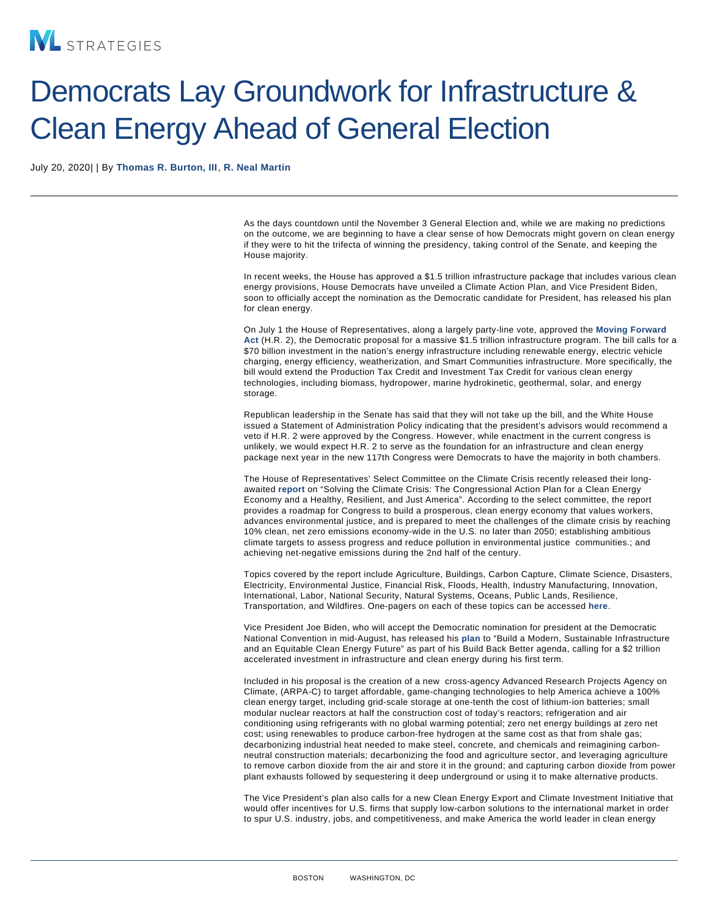## Democrats Lay Groundwork for Infrastructure & Clean Energy Ahead of General Election

July 20, 2020| | By [Thomas R. Burton, III](/our-people/thomas-r-burton-iii) , [R. Neal Martin](/our-people/r-neal-martin)

As the days countdown until the November 3 General Election and, while we are making no predictions on the outcome, we are beginning to have a clear sense of how Democrats might govern on clean energy if they were to hit the trifecta of winning the presidency, taking control of the Senate, and keeping the House majority.

In recent weeks, the House has approved a \$1.5 trillion infrastructure package that includes various clean energy provisions, House Democrats have unveiled a Climate Action Plan, and Vice President Biden, soon to officially accept the nomination as the Democratic candidate for President, has released his plan for clean energy.

On July 1 the House of Representatives, along a largely party-line vote, approved the [Moving Forward](https://transportation.house.gov/imo/media/doc/Fact sheet HR 2 Moving Forward Act FINAL.pdf) [Act](https://transportation.house.gov/imo/media/doc/Fact sheet HR 2 Moving Forward Act FINAL.pdf) (H.R. 2), the Democratic proposal for a massive \$1.5 trillion infrastructure program. The bill calls for a \$70 billion investment in the nation's energy infrastructure including renewable energy, electric vehicle charging, energy efficiency, weatherization, and Smart Communities infrastructure. More specifically, the bill would extend the Production Tax Credit and Investment Tax Credit for various clean energy technologies, including biomass, hydropower, marine hydrokinetic, geothermal, solar, and energy storage.

Republican leadership in the Senate has said that they will not take up the bill, and the White House issued a Statement of Administration Policy indicating that the president's advisors would recommend a veto if H.R. 2 were approved by the Congress. However, while enactment in the current congress is unlikely, we would expect H.R. 2 to serve as the foundation for an infrastructure and clean energy package next year in the new 117th Congress were Democrats to have the majority in both chambers.

The House of Representatives' Select Committee on the Climate Crisis recently released their longawaited [report o](https://climatecrisis.house.govsites/climatecrisis.house.gov/files/Climate Crisis Action Plan.pdf)n "Solving the Climate Crisis: The Congressional Action Plan for a Clean Energy Economy and a Healthy, Resilient, and Just America". According to the select committee, the report provides a roadmap for Congress to build a prosperous, clean energy economy that values workers, advances environmental justice, and is prepared to meet the challenges of the climate crisis by reaching 10% clean, net zero emissions economy-wide in the U.S. no later than 2050; establishing ambitious climate targets to assess progress and reduce pollution in environmental justice communities.; and achieving net-negative emissions during the 2nd half of the century.

Topics covered by the report include Agriculture, Buildings, Carbon Capture, Climate Science, Disasters, Electricity, Environmental Justice, Financial Risk, Floods, Health, Industry Manufacturing, Innovation, International, Labor, National Security, Natural Systems, Oceans, Public Lands, Resilience, Transportation, and Wildfires. One-pagers on each of these topics can be accessed [here](https://drive.google.com/drive/folders/1_aeMl-nlmX_dZzEozbRPQI82G8M4-Aso) .

Vice President Joe Biden, who will accept the Democratic nomination for president at the Democratic National Convention in mid-August, has released his [plan](https://joebiden.com/clean-energy/) to "Build a Modern, Sustainable Infrastructure and an Equitable Clean Energy Future" as part of his Build Back Better agenda, calling for a \$2 trillion accelerated investment in infrastructure and clean energy during his first term.

Included in his proposal is the creation of a new cross-agency Advanced Research Projects Agency on Climate, (ARPA-C) to target affordable, game-changing technologies to help America achieve a 100% clean energy target, including grid-scale storage at one-tenth the cost of lithium-ion batteries; small modular nuclear reactors at half the construction cost of today's reactors; refrigeration and air conditioning using refrigerants with no global warming potential; zero net energy buildings at zero net cost; using renewables to produce carbon-free hydrogen at the same cost as that from shale gas; decarbonizing industrial heat needed to make steel, concrete, and chemicals and reimagining carbonneutral construction materials; decarbonizing the food and agriculture sector, and leveraging agriculture to remove carbon dioxide from the air and store it in the ground; and capturing carbon dioxide from power plant exhausts followed by sequestering it deep underground or using it to make alternative products.

The Vice President's plan also calls for a new Clean Energy Export and Climate Investment Initiative that would offer incentives for U.S. firms that supply low-carbon solutions to the international market in order to spur U.S. industry, jobs, and competitiveness, and make America the world leader in clean energy